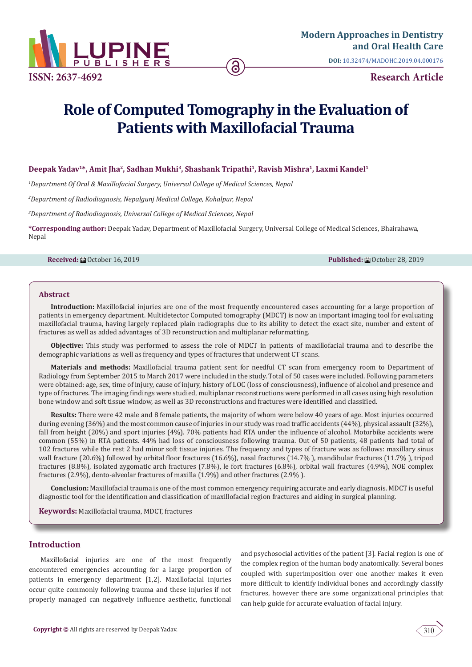

**DOI:** [10.32474/MADOHC.2019.04.000176](http://dx.doi.org/10.32474/MADOHC.2019.04.000176)

# **Role of Computed Tomography in the Evaluation of Patients with Maxillofacial Trauma**

Deepak Yadav<sup>1\*</sup>, Amit Jha<sup>2</sup>, Sadhan Mukhi<sup>3</sup>, Shashank Tripathi<sup>1</sup>, Ravish Mishra<sup>1</sup>, Laxmi Kandel<sup>1</sup>

*1 Department Of Oral & Maxillofacial Surgery, Universal College of Medical Sciences, Nepal*

*2 Department of Radiodiagnosis, Nepalgunj Medical College, Kohalpur, Nepal*

*3 Department of Radiodiagnosis, Universal College of Medical Sciences, Nepal*

**\*Corresponding author:** Deepak Yadav, Department of Maxillofacial Surgery, Universal College of Medical Sciences, Bhairahawa, Nepal

**Received:** ■ October 16, 2019 **Published:** ■ October 28, 2019

#### **Abstract**

**Introduction:** Maxillofacial injuries are one of the most frequently encountered cases accounting for a large proportion of patients in emergency department. Multidetector Computed tomography (MDCT) is now an important imaging tool for evaluating maxillofacial trauma, having largely replaced plain radiographs due to its ability to detect the exact site, number and extent of fractures as well as added advantages of 3D reconstruction and multiplanar reformatting.

**Objective:** This study was performed to assess the role of MDCT in patients of maxillofacial trauma and to describe the demographic variations as well as frequency and types of fractures that underwent CT scans.

**Materials and methods:** Maxillofacial trauma patient sent for needful CT scan from emergency room to Department of Radiology from September 2015 to March 2017 were included in the study. Total of 50 cases were included. Following parameters were obtained: age, sex, time of injury, cause of injury, history of LOC (loss of consciousness), influence of alcohol and presence and type of fractures. The imaging findings were studied, multiplanar reconstructions were performed in all cases using high resolution bone window and soft tissue window, as well as 3D reconstructions and fractures were identified and classified.

**Results:** There were 42 male and 8 female patients, the majority of whom were below 40 years of age. Most injuries occurred during evening (36%) and the most common cause of injuries in our study was road traffic accidents (44%), physical assault (32%), fall from height (20%) and sport injuries (4%). 70% patients had RTA under the influence of alcohol. Motorbike accidents were common (55%) in RTA patients. 44% had loss of consciousness following trauma. Out of 50 patients, 48 patients had total of 102 fractures while the rest 2 had minor soft tissue injuries. The frequency and types of fracture was as follows: maxillary sinus wall fracture (20.6%) followed by orbital floor fractures (16.6%), nasal fractures (14.7% ), mandibular fractures (11.7% ), tripod fractures (8.8%), isolated zygomatic arch fractures (7.8%), le fort fractures (6.8%), orbital wall fractures (4.9%), NOE complex fractures (2.9%), dento-alveolar fractures of maxilla (1.9%) and other fractures (2.9% ).

**Conclusion:** Maxillofacial trauma is one of the most common emergency requiring accurate and early diagnosis. MDCT is useful diagnostic tool for the identification and classification of maxillofacial region fractures and aiding in surgical planning.

**Keywords:** Maxillofacial trauma, MDCT, fractures

# **Introduction**

Maxillofacial injuries are one of the most frequently encountered emergencies accounting for a large proportion of patients in emergency department [1,2]. Maxillofacial injuries occur quite commonly following trauma and these injuries if not properly managed can negatively influence aesthetic, functional and psychosocial activities of the patient [3]. Facial region is one of the complex region of the human body anatomically. Several bones coupled with superimposition over one another makes it even more difficult to identify individual bones and accordingly classify fractures, however there are some organizational principles that can help guide for accurate evaluation of facial injury.

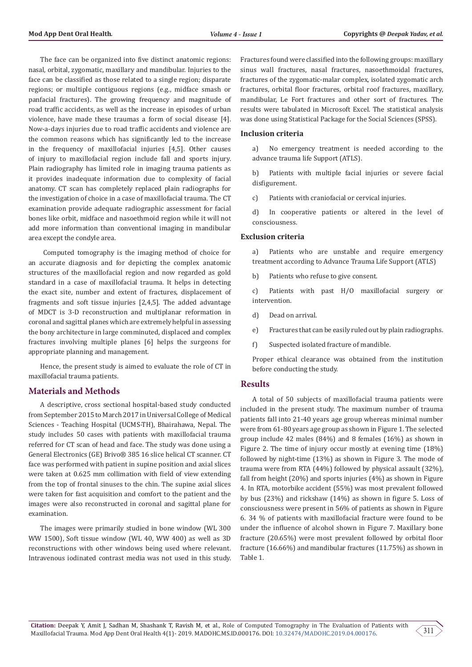The face can be organized into five distinct anatomic regions: nasal, orbital, zygomatic, maxillary and mandibular. Injuries to the face can be classified as those related to a single region; disparate regions; or multiple contiguous regions (e.g., midface smash or panfacial fractures). The growing frequency and magnitude of road traffic accidents, as well as the increase in episodes of urban violence, have made these traumas a form of social disease [4]. Now-a-days injuries due to road traffic accidents and violence are the common reasons which has significantly led to the increase in the frequency of maxillofacial injuries [4,5]. Other causes of injury to maxillofacial region include fall and sports injury. Plain radiography has limited role in imaging trauma patients as it provides inadequate information due to complexity of facial anatomy. CT scan has completely replaced plain radiographs for the investigation of choice in a case of maxillofacial trauma. The CT examination provide adequate radiographic assessment for facial bones like orbit, midface and nasoethmoid region while it will not add more information than conventional imaging in mandibular area except the condyle area.

 Computed tomography is the imaging method of choice for an accurate diagnosis and for depicting the complex anatomic structures of the maxillofacial region and now regarded as gold standard in a case of maxillofacial trauma. It helps in detecting the exact site, number and extent of fractures, displacement of fragments and soft tissue injuries [2,4,5]. The added advantage of MDCT is 3-D reconstruction and multiplanar reformation in coronal and sagittal planes which are extremely helpful in assessing the bony architecture in large comminuted, displaced and complex fractures involving multiple planes [6] helps the surgeons for appropriate planning and management.

Hence, the present study is aimed to evaluate the role of CT in maxillofacial trauma patients.

# **Materials and Methods**

A descriptive, cross sectional hospital-based study conducted from September 2015 to March 2017 in Universal College of Medical Sciences - Teaching Hospital (UCMS-TH), Bhairahawa, Nepal. The study includes 50 cases with patients with maxillofacial trauma referred for CT scan of head and face. The study was done using a General Electronics (GE) Brivo® 385 16 slice helical CT scanner. CT face was performed with patient in supine position and axial slices were taken at 0.625 mm collimation with field of view extending from the top of frontal sinuses to the chin. The supine axial slices were taken for fast acquisition and comfort to the patient and the images were also reconstructed in coronal and sagittal plane for examination.

The images were primarily studied in bone window (WL 300 WW 1500), Soft tissue window (WL 40, WW 400) as well as 3D reconstructions with other windows being used where relevant. Intravenous iodinated contrast media was not used in this study.

Fractures found were classified into the following groups: maxillary sinus wall fractures, nasal fractures, nasoethmoidal fractures, fractures of the zygomatic-malar complex, isolated zygomatic arch fractures, orbital floor fractures, orbital roof fractures, maxillary, mandibular, Le Fort fractures and other sort of fractures. The results were tabulated in Microsoft Excel. The statistical analysis was done using Statistical Package for the Social Sciences (SPSS).

### **Inclusion criteria**

a) No emergency treatment is needed according to the advance trauma life Support (ATLS).

b) Patients with multiple facial injuries or severe facial disfigurement.

c) Patients with craniofacial or cervical injuries.

d) In cooperative patients or altered in the level of consciousness.

#### **Exclusion criteria**

a) Patients who are unstable and require emergency treatment according to Advance Trauma Life Support (ATLS)

b) Patients who refuse to give consent.

c) Patients with past H/O maxillofacial surgery or intervention.

- d) Dead on arrival.
- e) Fractures that can be easily ruled out by plain radiographs.
- f) Suspected isolated fracture of mandible.

Proper ethical clearance was obtained from the institution before conducting the study.

#### **Results**

A total of 50 subjects of maxillofacial trauma patients were included in the present study. The maximum number of trauma patients fall into 21-40 years age group whereas minimal number were from 61-80 years age group as shown in Figure 1. The selected group include 42 males (84%) and 8 females (16%) as shown in Figure 2. The time of injury occur mostly at evening time (18%) followed by night-time (13%) as shown in Figure 3. The mode of trauma were from RTA (44%) followed by physical assault (32%), fall from height (20%) and sports injuries (4%) as shown in Figure 4. In RTA, motorbike accident (55%) was most prevalent followed by bus (23%) and rickshaw (14%) as shown in figure 5. Loss of consciousness were present in 56% of patients as shown in Figure 6. 34 % of patients with maxillofacial fracture were found to be under the influence of alcohol shown in Figure 7. Maxillary bone fracture (20.65%) were most prevalent followed by orbital floor fracture (16.66%) and mandibular fractures (11.75%) as shown in Table 1.

311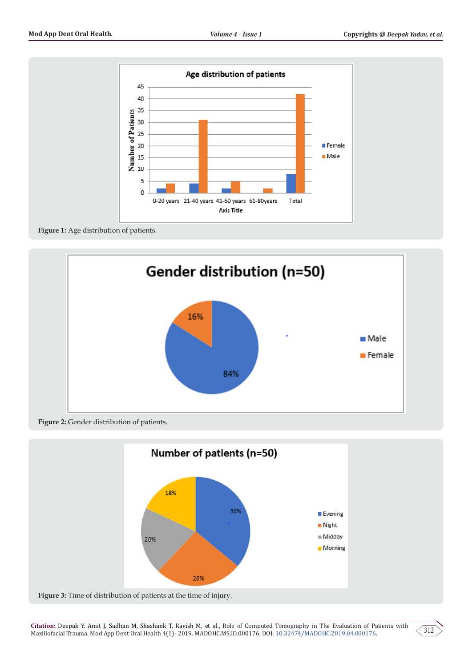

**Figure 1:** Age distribution of patients.



**Figure 2:** Gender distribution of patients.



**Figure 3:** Time of distribution of patients at the time of injury.

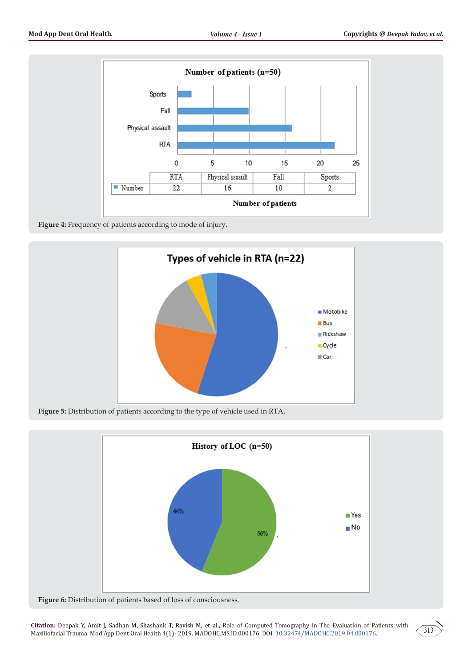

**Figure 4:** Frequency of patients according to mode of injury.



**Figure 5:** Distribution of patients according to the type of vehicle used in RTA.



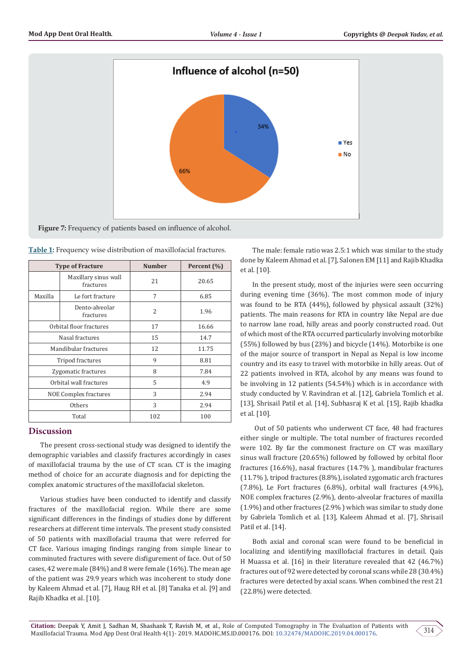

| <b>Type of Fracture</b>      |                                   | <b>Number</b>  | Percent (%) |
|------------------------------|-----------------------------------|----------------|-------------|
|                              | Maxillary sinus wall<br>fractures | 21             | 20.65       |
| Maxilla                      | Le fort fracture                  | 7              | 6.85        |
|                              | Dento-alveolar<br>fractures       | $\overline{2}$ | 1.96        |
| Orbital floor fractures      |                                   | 17             | 16.66       |
| Nasal fractures              |                                   | 15             | 14.7        |
| Mandibular fractures         |                                   | 12             | 11.75       |
| Tripod fractures             |                                   | 9              | 8.81        |
| Zygomatic fractures          |                                   | 8              | 7.84        |
| Orbital wall fractures       |                                   | 5              | 4.9         |
| <b>NOE Complex fractures</b> |                                   | 3              | 2.94        |
| <b>Others</b>                |                                   | 3              | 2.94        |
| Total                        |                                   | 102            | 100         |

**Table 1:** Frequency wise distribution of maxillofacial fractures.

# **Discussion**

The present cross-sectional study was designed to identify the demographic variables and classify fractures accordingly in cases of maxillofacial trauma by the use of CT scan. CT is the imaging method of choice for an accurate diagnosis and for depicting the complex anatomic structures of the maxillofacial skeleton.

Various studies have been conducted to identify and classify fractures of the maxillofacial region. While there are some significant differences in the findings of studies done by different researchers at different time intervals. The present study consisted of 50 patients with maxillofacial trauma that were referred for CT face. Various imaging findings ranging from simple linear to comminuted fractures with severe disfigurement of face. Out of 50 cases, 42 were male (84%) and 8 were female (16%). The mean age of the patient was 29.9 years which was incoherent to study done by Kaleem Ahmad et al. [7], Haug RH et al. [8] Tanaka et al. [9] and Rajib Khadka et al. [10].

The male: female ratio was 2.5:1 which was similar to the study done by Kaleem Ahmad et al. [7], Salonen EM [11] and Rajib Khadka et al. [10].

In the present study, most of the injuries were seen occurring during evening time (36%). The most common mode of injury was found to be RTA (44%), followed by physical assault (32%) patients. The main reasons for RTA in country like Nepal are due to narrow lane road, hilly areas and poorly constructed road. Out of which most of the RTA occurred particularly involving motorbike (55%) followed by bus (23%) and bicycle (14%). Motorbike is one of the major source of transport in Nepal as Nepal is low income country and its easy to travel with motorbike in hilly areas. Out of 22 patients involved in RTA, alcohol by any means was found to be involving in 12 patients (54.54%) which is in accordance with study conducted by V. Ravindran et al. [12], Gabriela Tomlich et al. [13], Shrisail Patil et al. [14], Subhasraj K et al. [15], Rajib khadka et al. [10].

 Out of 50 patients who underwent CT face, 48 had fractures either single or multiple. The total number of fractures recorded were 102. By far the commonest fracture on CT was maxillary sinus wall fracture (20.65%) followed by followed by orbital floor fractures (16.6%), nasal fractures (14.7% ), mandibular fractures (11.7% ), tripod fractures (8.8%), isolated zygomatic arch fractures (7.8%), Le Fort fractures (6.8%), orbital wall fractures (4.9%), NOE complex fractures (2.9%), dento-alveolar fractures of maxilla (1.9%) and other fractures (2.9% ) which was similar to study done by Gabriela Tomlich et al. [13], Kaleem Ahmad et al. [7], Shrisail Patil et al. [14].

Both axial and coronal scan were found to be beneficial in localizing and identifying maxillofacial fractures in detail. Qais H Muassa et al. [16] in their literature revealed that 42 (46.7%) fractures out of 92 were detected by coronal scans while 28 (30.4%) fractures were detected by axial scans. When combined the rest 21 (22.8%) were detected.